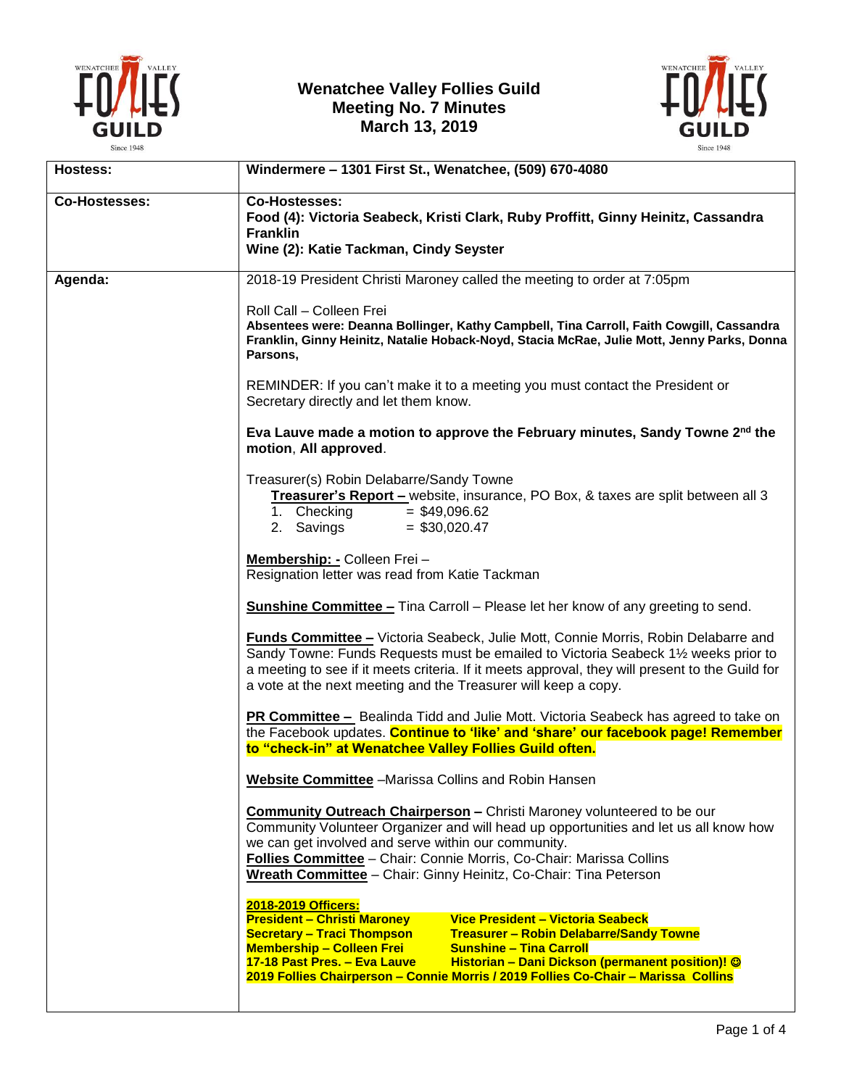



| <b>Hostess:</b>      | Windermere - 1301 First St., Wenatchee, (509) 670-4080                                                                                                                                                                                                                                                                                                                                                                                |
|----------------------|---------------------------------------------------------------------------------------------------------------------------------------------------------------------------------------------------------------------------------------------------------------------------------------------------------------------------------------------------------------------------------------------------------------------------------------|
| <b>Co-Hostesses:</b> | <b>Co-Hostesses:</b><br>Food (4): Victoria Seabeck, Kristi Clark, Ruby Proffitt, Ginny Heinitz, Cassandra<br><b>Franklin</b><br>Wine (2): Katie Tackman, Cindy Seyster                                                                                                                                                                                                                                                                |
| Agenda:              | 2018-19 President Christi Maroney called the meeting to order at 7:05pm                                                                                                                                                                                                                                                                                                                                                               |
|                      | Roll Call - Colleen Frei<br>Absentees were: Deanna Bollinger, Kathy Campbell, Tina Carroll, Faith Cowgill, Cassandra<br>Franklin, Ginny Heinitz, Natalie Hoback-Noyd, Stacia McRae, Julie Mott, Jenny Parks, Donna<br>Parsons,                                                                                                                                                                                                        |
|                      | REMINDER: If you can't make it to a meeting you must contact the President or<br>Secretary directly and let them know.                                                                                                                                                                                                                                                                                                                |
|                      | Eva Lauve made a motion to approve the February minutes, Sandy Towne 2 <sup>nd</sup> the<br>motion, All approved.                                                                                                                                                                                                                                                                                                                     |
|                      | Treasurer(s) Robin Delabarre/Sandy Towne<br>Treasurer's Report - website, insurance, PO Box, & taxes are split between all 3<br>1. Checking<br>$=$ \$49,096.62<br>2. Savings<br>$=$ \$30,020.47                                                                                                                                                                                                                                       |
|                      | Membership: - Colleen Frei -<br>Resignation letter was read from Katie Tackman                                                                                                                                                                                                                                                                                                                                                        |
|                      | <b>Sunshine Committee -</b> Tina Carroll - Please let her know of any greeting to send.                                                                                                                                                                                                                                                                                                                                               |
|                      | <b>Funds Committee - Victoria Seabeck, Julie Mott, Connie Morris, Robin Delabarre and</b><br>Sandy Towne: Funds Requests must be emailed to Victoria Seabeck 1½ weeks prior to<br>a meeting to see if it meets criteria. If it meets approval, they will present to the Guild for<br>a vote at the next meeting and the Treasurer will keep a copy.                                                                                   |
|                      | <b>PR Committee -</b> Bealinda Tidd and Julie Mott. Victoria Seabeck has agreed to take on<br>the Facebook updates. Continue to 'like' and 'share' our facebook page! Remember<br>to "check-in" at Wenatchee Valley Follies Guild often.                                                                                                                                                                                              |
|                      | Website Committee -Marissa Collins and Robin Hansen                                                                                                                                                                                                                                                                                                                                                                                   |
|                      | <b>Community Outreach Chairperson - Christi Maroney volunteered to be our</b><br>Community Volunteer Organizer and will head up opportunities and let us all know how<br>we can get involved and serve within our community.<br>Follies Committee - Chair: Connie Morris, Co-Chair: Marissa Collins<br>Wreath Committee - Chair: Ginny Heinitz, Co-Chair: Tina Peterson                                                               |
|                      | 2018-2019 Officers:<br><b>President - Christi Maroney</b><br>Vice President - Victoria Seabeck<br><b>Secretary - Traci Thompson</b><br><b>Treasurer - Robin Delabarre/Sandy Towne</b><br><b>Membership - Colleen Frei</b><br><b>Sunshine - Tina Carroll</b><br>Historian - Dani Dickson (permanent position)! ©<br>17-18 Past Pres. - Eva Lauve<br>2019 Follies Chairperson - Connie Morris / 2019 Follies Co-Chair - Marissa Collins |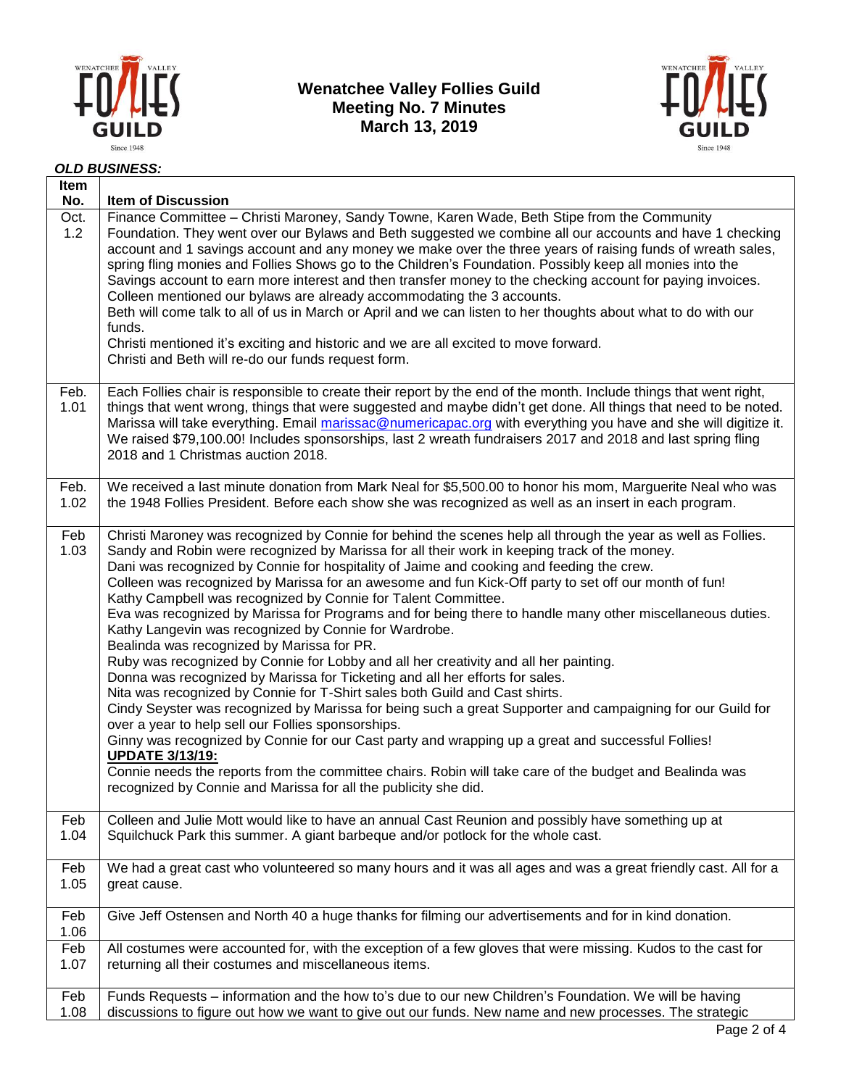



#### *OLD BUSINESS:*

| Item<br>No.  | <b>Item of Discussion</b>                                                                                                                                                                                                                                                                                                                                                                                                                                                                                                                                                                                                                                                                                                                                                                                                                                                                                                                                                                                                                                                                                                                                                                                                                                                                                                                                                                                                                     |
|--------------|-----------------------------------------------------------------------------------------------------------------------------------------------------------------------------------------------------------------------------------------------------------------------------------------------------------------------------------------------------------------------------------------------------------------------------------------------------------------------------------------------------------------------------------------------------------------------------------------------------------------------------------------------------------------------------------------------------------------------------------------------------------------------------------------------------------------------------------------------------------------------------------------------------------------------------------------------------------------------------------------------------------------------------------------------------------------------------------------------------------------------------------------------------------------------------------------------------------------------------------------------------------------------------------------------------------------------------------------------------------------------------------------------------------------------------------------------|
| Oct.<br>1.2  | Finance Committee - Christi Maroney, Sandy Towne, Karen Wade, Beth Stipe from the Community<br>Foundation. They went over our Bylaws and Beth suggested we combine all our accounts and have 1 checking<br>account and 1 savings account and any money we make over the three years of raising funds of wreath sales,<br>spring fling monies and Follies Shows go to the Children's Foundation. Possibly keep all monies into the<br>Savings account to earn more interest and then transfer money to the checking account for paying invoices.<br>Colleen mentioned our bylaws are already accommodating the 3 accounts.<br>Beth will come talk to all of us in March or April and we can listen to her thoughts about what to do with our<br>funds.<br>Christi mentioned it's exciting and historic and we are all excited to move forward.<br>Christi and Beth will re-do our funds request form.                                                                                                                                                                                                                                                                                                                                                                                                                                                                                                                                          |
| Feb.<br>1.01 | Each Follies chair is responsible to create their report by the end of the month. Include things that went right,<br>things that went wrong, things that were suggested and maybe didn't get done. All things that need to be noted.<br>Marissa will take everything. Email marissac@numericapac.org with everything you have and she will digitize it.<br>We raised \$79,100.00! Includes sponsorships, last 2 wreath fundraisers 2017 and 2018 and last spring fling<br>2018 and 1 Christmas auction 2018.                                                                                                                                                                                                                                                                                                                                                                                                                                                                                                                                                                                                                                                                                                                                                                                                                                                                                                                                  |
| Feb.         | We received a last minute donation from Mark Neal for \$5,500.00 to honor his mom, Marguerite Neal who was                                                                                                                                                                                                                                                                                                                                                                                                                                                                                                                                                                                                                                                                                                                                                                                                                                                                                                                                                                                                                                                                                                                                                                                                                                                                                                                                    |
| 1.02         | the 1948 Follies President. Before each show she was recognized as well as an insert in each program.                                                                                                                                                                                                                                                                                                                                                                                                                                                                                                                                                                                                                                                                                                                                                                                                                                                                                                                                                                                                                                                                                                                                                                                                                                                                                                                                         |
| Feb<br>1.03  | Christi Maroney was recognized by Connie for behind the scenes help all through the year as well as Follies.<br>Sandy and Robin were recognized by Marissa for all their work in keeping track of the money.<br>Dani was recognized by Connie for hospitality of Jaime and cooking and feeding the crew.<br>Colleen was recognized by Marissa for an awesome and fun Kick-Off party to set off our month of fun!<br>Kathy Campbell was recognized by Connie for Talent Committee.<br>Eva was recognized by Marissa for Programs and for being there to handle many other miscellaneous duties.<br>Kathy Langevin was recognized by Connie for Wardrobe.<br>Bealinda was recognized by Marissa for PR.<br>Ruby was recognized by Connie for Lobby and all her creativity and all her painting.<br>Donna was recognized by Marissa for Ticketing and all her efforts for sales.<br>Nita was recognized by Connie for T-Shirt sales both Guild and Cast shirts.<br>Cindy Seyster was recognized by Marissa for being such a great Supporter and campaigning for our Guild for<br>over a year to help sell our Follies sponsorships.<br>Ginny was recognized by Connie for our Cast party and wrapping up a great and successful Follies!<br><b>UPDATE 3/13/19:</b><br>Connie needs the reports from the committee chairs. Robin will take care of the budget and Bealinda was<br>recognized by Connie and Marissa for all the publicity she did. |
| Feb          | Colleen and Julie Mott would like to have an annual Cast Reunion and possibly have something up at                                                                                                                                                                                                                                                                                                                                                                                                                                                                                                                                                                                                                                                                                                                                                                                                                                                                                                                                                                                                                                                                                                                                                                                                                                                                                                                                            |
| 1.04         | Squilchuck Park this summer. A giant barbeque and/or potlock for the whole cast.                                                                                                                                                                                                                                                                                                                                                                                                                                                                                                                                                                                                                                                                                                                                                                                                                                                                                                                                                                                                                                                                                                                                                                                                                                                                                                                                                              |
| Feb          | We had a great cast who volunteered so many hours and it was all ages and was a great friendly cast. All for a                                                                                                                                                                                                                                                                                                                                                                                                                                                                                                                                                                                                                                                                                                                                                                                                                                                                                                                                                                                                                                                                                                                                                                                                                                                                                                                                |
| 1.05         | great cause.                                                                                                                                                                                                                                                                                                                                                                                                                                                                                                                                                                                                                                                                                                                                                                                                                                                                                                                                                                                                                                                                                                                                                                                                                                                                                                                                                                                                                                  |
| Feb<br>1.06  | Give Jeff Ostensen and North 40 a huge thanks for filming our advertisements and for in kind donation.                                                                                                                                                                                                                                                                                                                                                                                                                                                                                                                                                                                                                                                                                                                                                                                                                                                                                                                                                                                                                                                                                                                                                                                                                                                                                                                                        |
| Feb          | All costumes were accounted for, with the exception of a few gloves that were missing. Kudos to the cast for                                                                                                                                                                                                                                                                                                                                                                                                                                                                                                                                                                                                                                                                                                                                                                                                                                                                                                                                                                                                                                                                                                                                                                                                                                                                                                                                  |
| 1.07         | returning all their costumes and miscellaneous items.                                                                                                                                                                                                                                                                                                                                                                                                                                                                                                                                                                                                                                                                                                                                                                                                                                                                                                                                                                                                                                                                                                                                                                                                                                                                                                                                                                                         |
| Feb          | Funds Requests - information and the how to's due to our new Children's Foundation. We will be having                                                                                                                                                                                                                                                                                                                                                                                                                                                                                                                                                                                                                                                                                                                                                                                                                                                                                                                                                                                                                                                                                                                                                                                                                                                                                                                                         |
| 1.08         | discussions to figure out how we want to give out our funds. New name and new processes. The strategic                                                                                                                                                                                                                                                                                                                                                                                                                                                                                                                                                                                                                                                                                                                                                                                                                                                                                                                                                                                                                                                                                                                                                                                                                                                                                                                                        |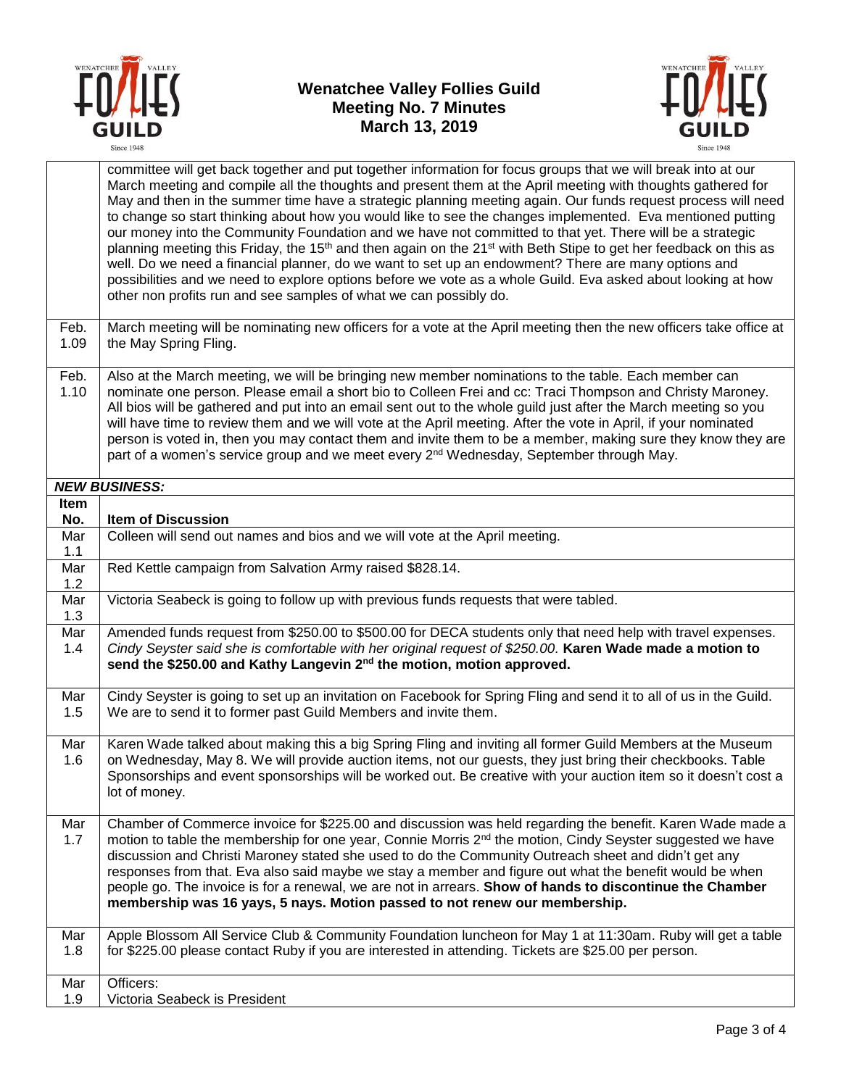



|                    | committee will get back together and put together information for focus groups that we will break into at our<br>March meeting and compile all the thoughts and present them at the April meeting with thoughts gathered for<br>May and then in the summer time have a strategic planning meeting again. Our funds request process will need<br>to change so start thinking about how you would like to see the changes implemented. Eva mentioned putting<br>our money into the Community Foundation and we have not committed to that yet. There will be a strategic<br>planning meeting this Friday, the 15 <sup>th</sup> and then again on the 21 <sup>st</sup> with Beth Stipe to get her feedback on this as<br>well. Do we need a financial planner, do we want to set up an endowment? There are many options and<br>possibilities and we need to explore options before we vote as a whole Guild. Eva asked about looking at how<br>other non profits run and see samples of what we can possibly do. |
|--------------------|----------------------------------------------------------------------------------------------------------------------------------------------------------------------------------------------------------------------------------------------------------------------------------------------------------------------------------------------------------------------------------------------------------------------------------------------------------------------------------------------------------------------------------------------------------------------------------------------------------------------------------------------------------------------------------------------------------------------------------------------------------------------------------------------------------------------------------------------------------------------------------------------------------------------------------------------------------------------------------------------------------------|
| Feb.<br>1.09       | March meeting will be nominating new officers for a vote at the April meeting then the new officers take office at<br>the May Spring Fling.                                                                                                                                                                                                                                                                                                                                                                                                                                                                                                                                                                                                                                                                                                                                                                                                                                                                    |
| Feb.<br>1.10       | Also at the March meeting, we will be bringing new member nominations to the table. Each member can<br>nominate one person. Please email a short bio to Colleen Frei and cc: Traci Thompson and Christy Maroney.<br>All bios will be gathered and put into an email sent out to the whole guild just after the March meeting so you<br>will have time to review them and we will vote at the April meeting. After the vote in April, if your nominated<br>person is voted in, then you may contact them and invite them to be a member, making sure they know they are<br>part of a women's service group and we meet every 2 <sup>nd</sup> Wednesday, September through May.                                                                                                                                                                                                                                                                                                                                  |
|                    | <b>NEW BUSINESS:</b>                                                                                                                                                                                                                                                                                                                                                                                                                                                                                                                                                                                                                                                                                                                                                                                                                                                                                                                                                                                           |
| <b>Item</b><br>No. | <b>Item of Discussion</b>                                                                                                                                                                                                                                                                                                                                                                                                                                                                                                                                                                                                                                                                                                                                                                                                                                                                                                                                                                                      |
| Mar<br>1.1         | Colleen will send out names and bios and we will vote at the April meeting.                                                                                                                                                                                                                                                                                                                                                                                                                                                                                                                                                                                                                                                                                                                                                                                                                                                                                                                                    |
| Mar<br>1.2         | Red Kettle campaign from Salvation Army raised \$828.14.                                                                                                                                                                                                                                                                                                                                                                                                                                                                                                                                                                                                                                                                                                                                                                                                                                                                                                                                                       |
| Mar<br>1.3         | Victoria Seabeck is going to follow up with previous funds requests that were tabled.                                                                                                                                                                                                                                                                                                                                                                                                                                                                                                                                                                                                                                                                                                                                                                                                                                                                                                                          |
| Mar<br>1.4         | Amended funds request from \$250.00 to \$500.00 for DECA students only that need help with travel expenses.<br>Cindy Seyster said she is comfortable with her original request of \$250.00. Karen Wade made a motion to<br>send the \$250.00 and Kathy Langevin 2 <sup>nd</sup> the motion, motion approved.                                                                                                                                                                                                                                                                                                                                                                                                                                                                                                                                                                                                                                                                                                   |
| Mar<br>1.5         | Cindy Seyster is going to set up an invitation on Facebook for Spring Fling and send it to all of us in the Guild.<br>We are to send it to former past Guild Members and invite them.                                                                                                                                                                                                                                                                                                                                                                                                                                                                                                                                                                                                                                                                                                                                                                                                                          |
| Mar<br>1.6         | Karen Wade talked about making this a big Spring Fling and inviting all former Guild Members at the Museum<br>on Wednesday, May 8. We will provide auction items, not our guests, they just bring their checkbooks. Table<br>Sponsorships and event sponsorships will be worked out. Be creative with your auction item so it doesn't cost a<br>lot of money.                                                                                                                                                                                                                                                                                                                                                                                                                                                                                                                                                                                                                                                  |
| Mar<br>1.7         | Chamber of Commerce invoice for \$225.00 and discussion was held regarding the benefit. Karen Wade made a<br>motion to table the membership for one year, Connie Morris 2 <sup>nd</sup> the motion, Cindy Seyster suggested we have<br>discussion and Christi Maroney stated she used to do the Community Outreach sheet and didn't get any<br>responses from that. Eva also said maybe we stay a member and figure out what the benefit would be when<br>people go. The invoice is for a renewal, we are not in arrears. Show of hands to discontinue the Chamber<br>membership was 16 yays, 5 nays. Motion passed to not renew our membership.                                                                                                                                                                                                                                                                                                                                                               |
| Mar<br>1.8         | Apple Blossom All Service Club & Community Foundation luncheon for May 1 at 11:30am. Ruby will get a table<br>for \$225.00 please contact Ruby if you are interested in attending. Tickets are \$25.00 per person.                                                                                                                                                                                                                                                                                                                                                                                                                                                                                                                                                                                                                                                                                                                                                                                             |
| Mar<br>1.9         | Officers:<br>Victoria Seabeck is President                                                                                                                                                                                                                                                                                                                                                                                                                                                                                                                                                                                                                                                                                                                                                                                                                                                                                                                                                                     |